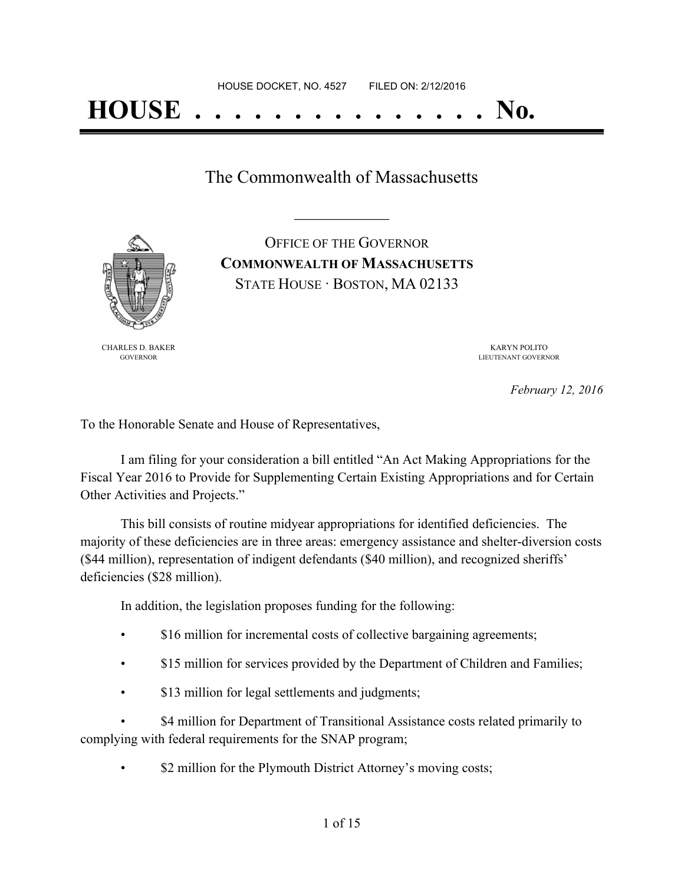## **HOUSE . . . . . . . . . . . . . . . No.**

The Commonwealth of Massachusetts

**\_\_\_\_\_\_\_\_\_\_\_\_\_\_\_\_\_**



OFFICE OF THE GOVERNOR **COMMONWEALTH OF MASSACHUSETTS** STATE HOUSE · BOSTON, MA 02133

CHARLES D. BAKER GOVERNOR

KARYN POLITO LIEUTENANT GOVERNOR

*February 12, 2016*

To the Honorable Senate and House of Representatives,

I am filing for your consideration a bill entitled "An Act Making Appropriations for the Fiscal Year 2016 to Provide for Supplementing Certain Existing Appropriations and for Certain Other Activities and Projects."

This bill consists of routine midyear appropriations for identified deficiencies. The majority of these deficiencies are in three areas: emergency assistance and shelter-diversion costs (\$44 million), representation of indigent defendants (\$40 million), and recognized sheriffs' deficiencies (\$28 million).

In addition, the legislation proposes funding for the following:

- \$16 million for incremental costs of collective bargaining agreements;
- \$15 million for services provided by the Department of Children and Families;
- \$13 million for legal settlements and judgments;

\$4 million for Department of Transitional Assistance costs related primarily to complying with federal requirements for the SNAP program;

\$2 million for the Plymouth District Attorney's moving costs;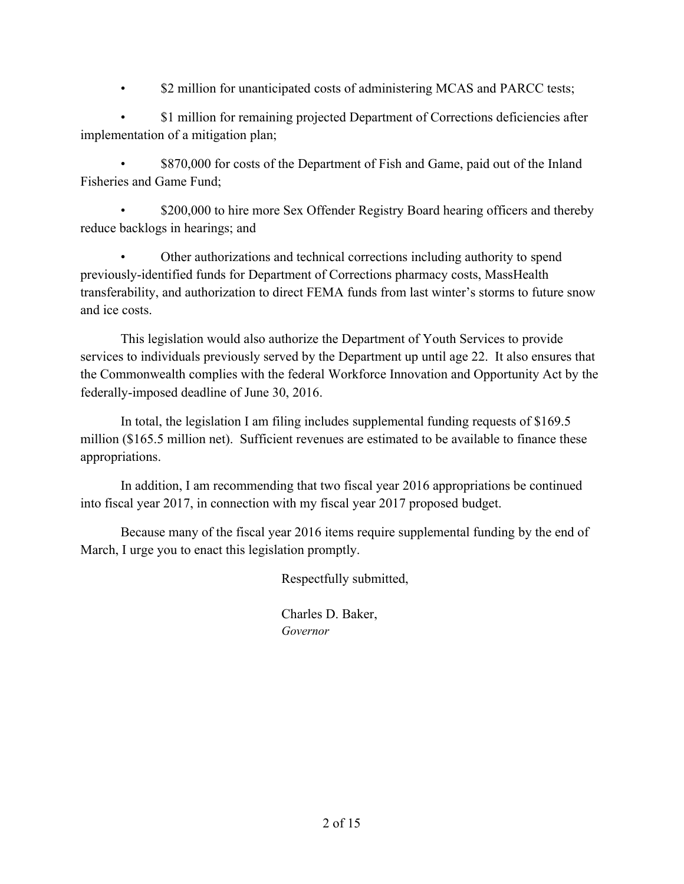\$2 million for unanticipated costs of administering MCAS and PARCC tests;

• \$1 million for remaining projected Department of Corrections deficiencies after implementation of a mitigation plan;

\$870,000 for costs of the Department of Fish and Game, paid out of the Inland Fisheries and Game Fund;

\$200,000 to hire more Sex Offender Registry Board hearing officers and thereby reduce backlogs in hearings; and

• Other authorizations and technical corrections including authority to spend previously-identified funds for Department of Corrections pharmacy costs, MassHealth transferability, and authorization to direct FEMA funds from last winter's storms to future snow and ice costs.

This legislation would also authorize the Department of Youth Services to provide services to individuals previously served by the Department up until age 22. It also ensures that the Commonwealth complies with the federal Workforce Innovation and Opportunity Act by the federally-imposed deadline of June 30, 2016.

In total, the legislation I am filing includes supplemental funding requests of \$169.5 million (\$165.5 million net). Sufficient revenues are estimated to be available to finance these appropriations.

In addition, I am recommending that two fiscal year 2016 appropriations be continued into fiscal year 2017, in connection with my fiscal year 2017 proposed budget.

Because many of the fiscal year 2016 items require supplemental funding by the end of March, I urge you to enact this legislation promptly.

Respectfully submitted,

Charles D. Baker, *Governor*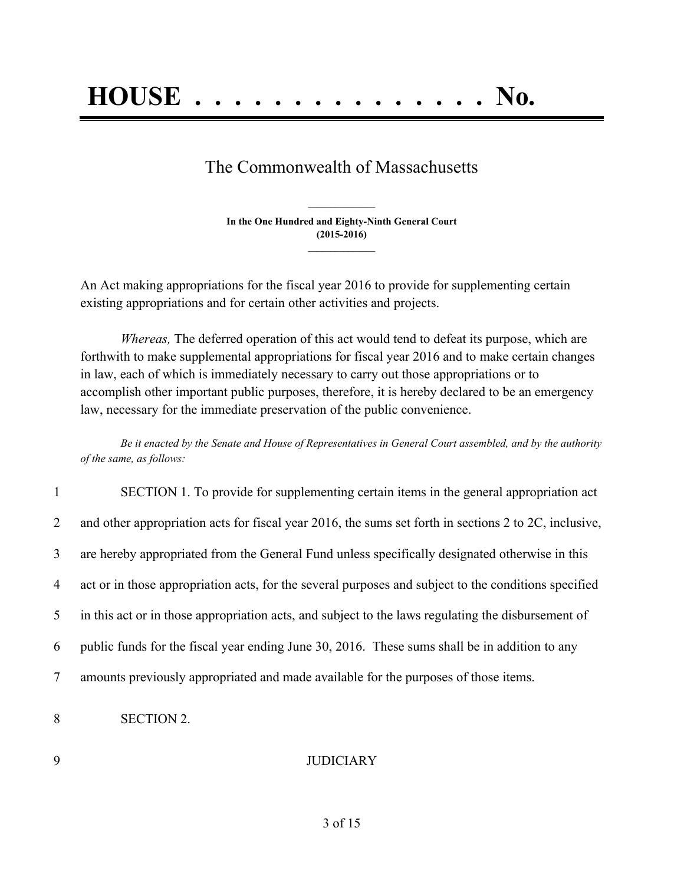# **HOUSE . . . . . . . . . . . . . . . No.**

## The Commonwealth of Massachusetts

**In the One Hundred and Eighty-Ninth General Court (2015-2016) \_\_\_\_\_\_\_\_\_\_\_\_\_\_\_**

**\_\_\_\_\_\_\_\_\_\_\_\_\_\_\_**

An Act making appropriations for the fiscal year 2016 to provide for supplementing certain existing appropriations and for certain other activities and projects.

*Whereas,* The deferred operation of this act would tend to defeat its purpose, which are forthwith to make supplemental appropriations for fiscal year 2016 and to make certain changes in law, each of which is immediately necessary to carry out those appropriations or to accomplish other important public purposes, therefore, it is hereby declared to be an emergency law, necessary for the immediate preservation of the public convenience.

Be it enacted by the Senate and House of Representatives in General Court assembled, and by the authority *of the same, as follows:*

| $\mathbf{1}$   | SECTION 1. To provide for supplementing certain items in the general appropriation act                |
|----------------|-------------------------------------------------------------------------------------------------------|
| $\overline{2}$ | and other appropriation acts for fiscal year 2016, the sums set forth in sections 2 to 2C, inclusive, |
| 3              | are hereby appropriated from the General Fund unless specifically designated otherwise in this        |
| 4              | act or in those appropriation acts, for the several purposes and subject to the conditions specified  |
| 5              | in this act or in those appropriation acts, and subject to the laws regulating the disbursement of    |
| 6              | public funds for the fiscal year ending June 30, 2016. These sums shall be in addition to any         |
| $\overline{7}$ | amounts previously appropriated and made available for the purposes of those items.                   |
|                |                                                                                                       |

8 SECTION 2.

#### 9 JUDICIARY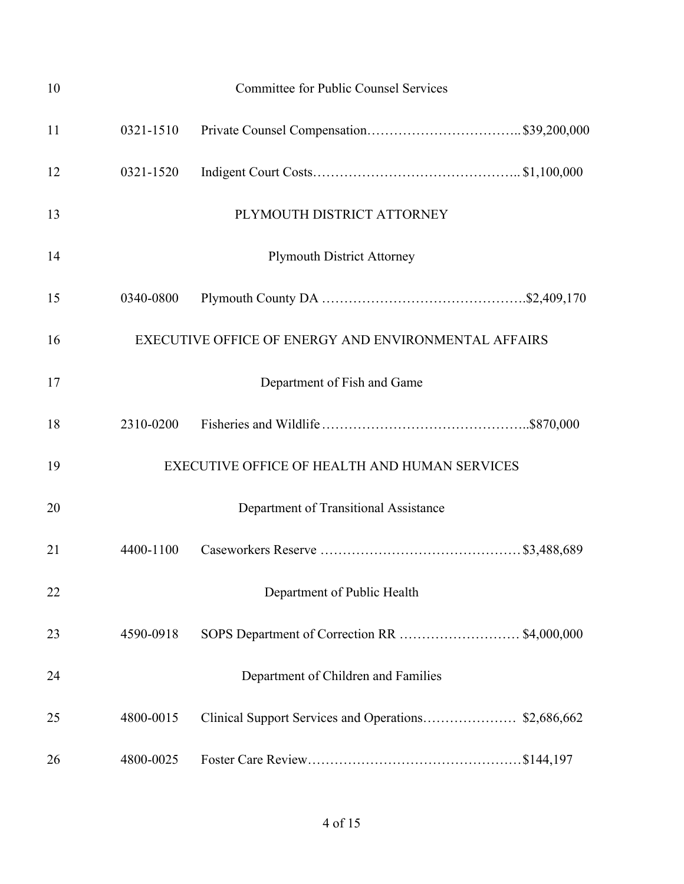| 10 |           | <b>Committee for Public Counsel Services</b>         |
|----|-----------|------------------------------------------------------|
| 11 | 0321-1510 |                                                      |
| 12 | 0321-1520 |                                                      |
| 13 |           | PLYMOUTH DISTRICT ATTORNEY                           |
| 14 |           | <b>Plymouth District Attorney</b>                    |
| 15 | 0340-0800 |                                                      |
| 16 |           | EXECUTIVE OFFICE OF ENERGY AND ENVIRONMENTAL AFFAIRS |
| 17 |           | Department of Fish and Game                          |
| 18 | 2310-0200 |                                                      |
| 19 |           | <b>EXECUTIVE OFFICE OF HEALTH AND HUMAN SERVICES</b> |
| 20 |           | Department of Transitional Assistance                |
| 21 | 4400-1100 |                                                      |
| 22 |           | Department of Public Health                          |
| 23 | 4590-0918 |                                                      |
| 24 |           | Department of Children and Families                  |
| 25 | 4800-0015 |                                                      |
| 26 | 4800-0025 |                                                      |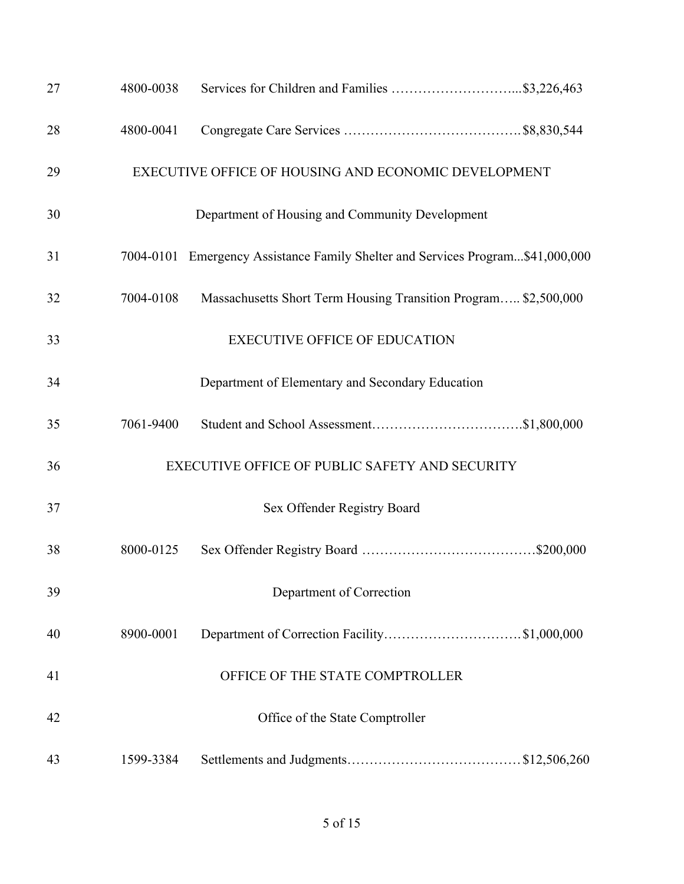| 27 | 4800-0038 |                                                                                |  |
|----|-----------|--------------------------------------------------------------------------------|--|
| 28 | 4800-0041 |                                                                                |  |
| 29 |           | EXECUTIVE OFFICE OF HOUSING AND ECONOMIC DEVELOPMENT                           |  |
| 30 |           | Department of Housing and Community Development                                |  |
| 31 |           | 7004-0101 Emergency Assistance Family Shelter and Services Program\$41,000,000 |  |
| 32 | 7004-0108 | Massachusetts Short Term Housing Transition Program \$2,500,000                |  |
| 33 |           | <b>EXECUTIVE OFFICE OF EDUCATION</b>                                           |  |
| 34 |           | Department of Elementary and Secondary Education                               |  |
| 35 | 7061-9400 |                                                                                |  |
| 36 |           | EXECUTIVE OFFICE OF PUBLIC SAFETY AND SECURITY                                 |  |
| 37 |           | Sex Offender Registry Board                                                    |  |
| 38 | 8000-0125 |                                                                                |  |
| 39 |           | Department of Correction                                                       |  |
| 40 | 8900-0001 |                                                                                |  |
| 41 |           | OFFICE OF THE STATE COMPTROLLER                                                |  |
| 42 |           | Office of the State Comptroller                                                |  |
| 43 | 1599-3384 |                                                                                |  |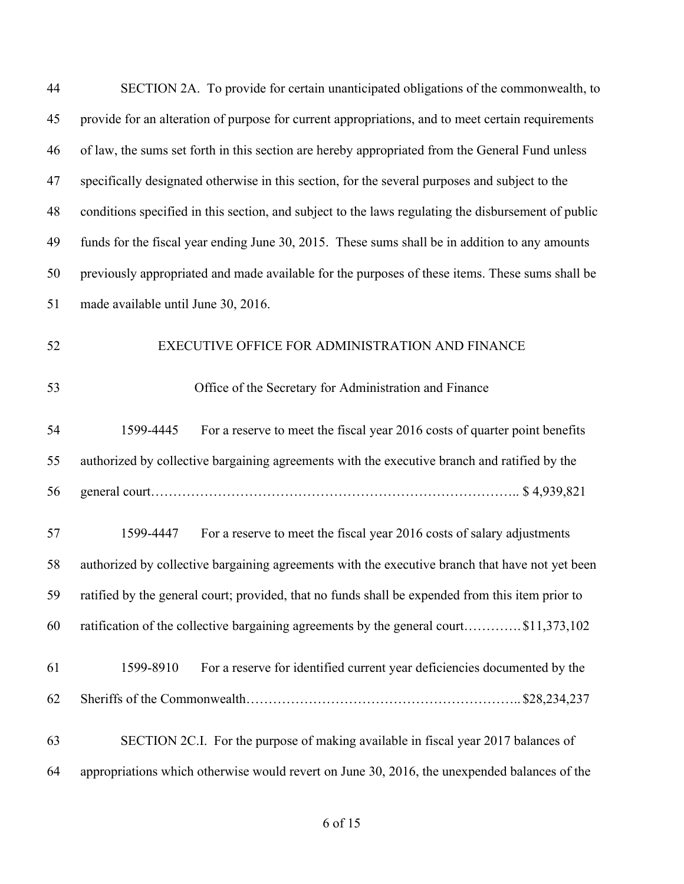| 44 | SECTION 2A. To provide for certain unanticipated obligations of the commonwealth, to                |
|----|-----------------------------------------------------------------------------------------------------|
| 45 | provide for an alteration of purpose for current appropriations, and to meet certain requirements   |
| 46 | of law, the sums set forth in this section are hereby appropriated from the General Fund unless     |
| 47 | specifically designated otherwise in this section, for the several purposes and subject to the      |
| 48 | conditions specified in this section, and subject to the laws regulating the disbursement of public |
| 49 | funds for the fiscal year ending June 30, 2015. These sums shall be in addition to any amounts      |
| 50 | previously appropriated and made available for the purposes of these items. These sums shall be     |
| 51 | made available until June 30, 2016.                                                                 |
| 52 | EXECUTIVE OFFICE FOR ADMINISTRATION AND FINANCE                                                     |
| 53 | Office of the Secretary for Administration and Finance                                              |
| 54 | For a reserve to meet the fiscal year 2016 costs of quarter point benefits<br>1599-4445             |
| 55 | authorized by collective bargaining agreements with the executive branch and ratified by the        |
| 56 |                                                                                                     |
| 57 | For a reserve to meet the fiscal year 2016 costs of salary adjustments<br>1599-4447                 |
| 58 | authorized by collective bargaining agreements with the executive branch that have not yet been     |
| 59 | ratified by the general court; provided, that no funds shall be expended from this item prior to    |
| 60 | ratification of the collective bargaining agreements by the general court\$11,373,102               |
| 61 | For a reserve for identified current year deficiencies documented by the<br>1599-8910               |
| 62 |                                                                                                     |
| 63 | SECTION 2C.I. For the purpose of making available in fiscal year 2017 balances of                   |
| 64 | appropriations which otherwise would revert on June 30, 2016, the unexpended balances of the        |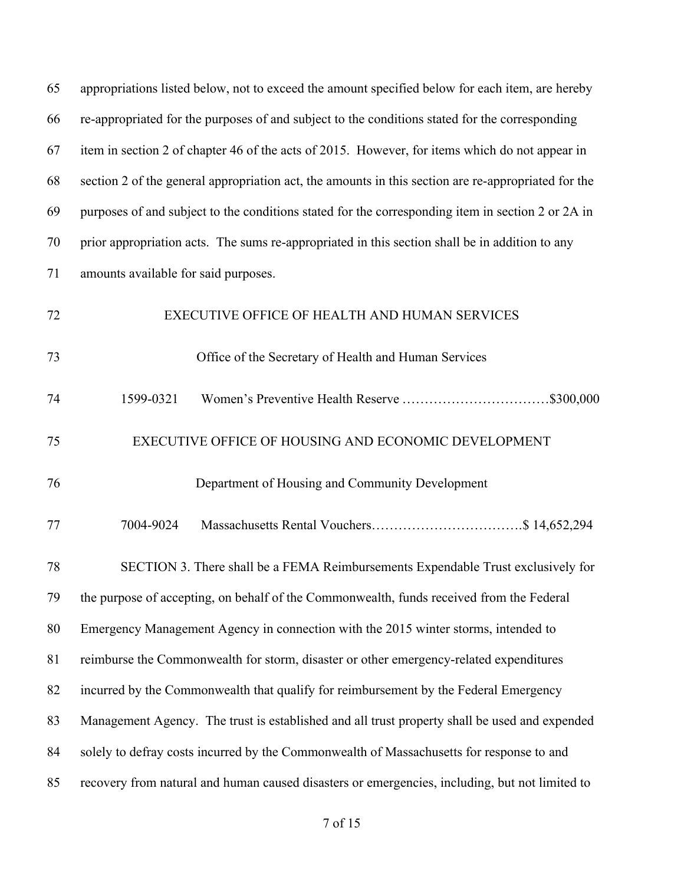| 65 | appropriations listed below, not to exceed the amount specified below for each item, are hereby     |
|----|-----------------------------------------------------------------------------------------------------|
| 66 | re-appropriated for the purposes of and subject to the conditions stated for the corresponding      |
| 67 | item in section 2 of chapter 46 of the acts of 2015. However, for items which do not appear in      |
| 68 | section 2 of the general appropriation act, the amounts in this section are re-appropriated for the |
| 69 | purposes of and subject to the conditions stated for the corresponding item in section 2 or 2A in   |
| 70 | prior appropriation acts. The sums re-appropriated in this section shall be in addition to any      |
| 71 | amounts available for said purposes.                                                                |
| 72 | EXECUTIVE OFFICE OF HEALTH AND HUMAN SERVICES                                                       |
| 73 | Office of the Secretary of Health and Human Services                                                |
| 74 | 1599-0321                                                                                           |
| 75 | EXECUTIVE OFFICE OF HOUSING AND ECONOMIC DEVELOPMENT                                                |
| 76 | Department of Housing and Community Development                                                     |
| 77 | 7004-9024                                                                                           |
| 78 | SECTION 3. There shall be a FEMA Reimbursements Expendable Trust exclusively for                    |
| 79 | the purpose of accepting, on behalf of the Commonwealth, funds received from the Federal            |
| 80 | Emergency Management Agency in connection with the 2015 winter storms, intended to                  |
| 81 | reimburse the Commonwealth for storm, disaster or other emergency-related expenditures              |
| 82 | incurred by the Commonwealth that qualify for reimbursement by the Federal Emergency                |
| 83 | Management Agency. The trust is established and all trust property shall be used and expended       |
| 84 | solely to defray costs incurred by the Commonwealth of Massachusetts for response to and            |
| 85 | recovery from natural and human caused disasters or emergencies, including, but not limited to      |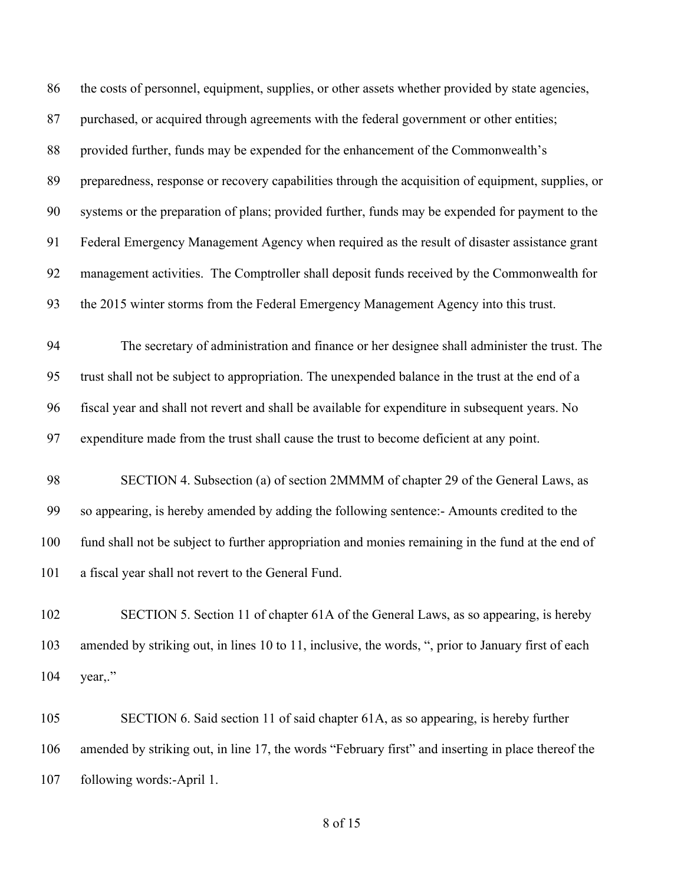the costs of personnel, equipment, supplies, or other assets whether provided by state agencies, purchased, or acquired through agreements with the federal government or other entities; provided further, funds may be expended for the enhancement of the Commonwealth's preparedness, response or recovery capabilities through the acquisition of equipment, supplies, or systems or the preparation of plans; provided further, funds may be expended for payment to the Federal Emergency Management Agency when required as the result of disaster assistance grant management activities. The Comptroller shall deposit funds received by the Commonwealth for the 2015 winter storms from the Federal Emergency Management Agency into this trust. The secretary of administration and finance or her designee shall administer the trust. The trust shall not be subject to appropriation. The unexpended balance in the trust at the end of a fiscal year and shall not revert and shall be available for expenditure in subsequent years. No expenditure made from the trust shall cause the trust to become deficient at any point. SECTION 4. Subsection (a) of section 2MMMM of chapter 29 of the General Laws, as so appearing, is hereby amended by adding the following sentence:- Amounts credited to the fund shall not be subject to further appropriation and monies remaining in the fund at the end of a fiscal year shall not revert to the General Fund. SECTION 5. Section 11 of chapter 61A of the General Laws, as so appearing, is hereby amended by striking out, in lines 10 to 11, inclusive, the words, ", prior to January first of each year,." SECTION 6. Said section 11 of said chapter 61A, as so appearing, is hereby further

following words:-April 1.

of 15

amended by striking out, in line 17, the words "February first" and inserting in place thereof the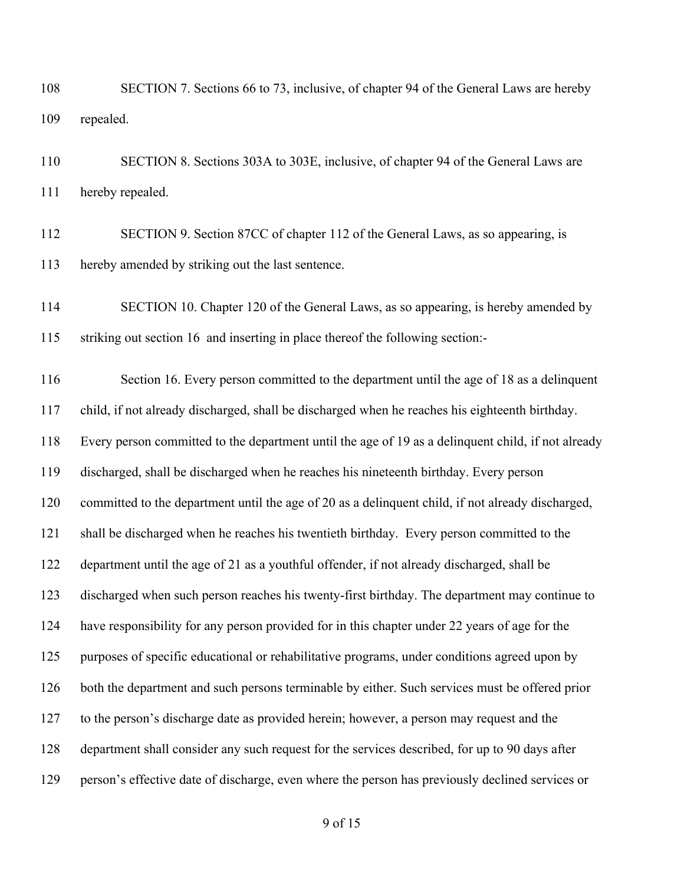- SECTION 7. Sections 66 to 73, inclusive, of chapter 94 of the General Laws are hereby repealed.
- SECTION 8. Sections 303A to 303E, inclusive, of chapter 94 of the General Laws are hereby repealed.
- SECTION 9. Section 87CC of chapter 112 of the General Laws, as so appearing, is hereby amended by striking out the last sentence.
- 114 SECTION 10. Chapter 120 of the General Laws, as so appearing, is hereby amended by striking out section 16 and inserting in place thereof the following section:-

 Section 16. Every person committed to the department until the age of 18 as a delinquent child, if not already discharged, shall be discharged when he reaches his eighteenth birthday. Every person committed to the department until the age of 19 as a delinquent child, if not already discharged, shall be discharged when he reaches his nineteenth birthday. Every person committed to the department until the age of 20 as a delinquent child, if not already discharged, 121 shall be discharged when he reaches his twentieth birthday. Every person committed to the department until the age of 21 as a youthful offender, if not already discharged, shall be discharged when such person reaches his twenty-first birthday. The department may continue to have responsibility for any person provided for in this chapter under 22 years of age for the purposes of specific educational or rehabilitative programs, under conditions agreed upon by both the department and such persons terminable by either. Such services must be offered prior to the person's discharge date as provided herein; however, a person may request and the department shall consider any such request for the services described, for up to 90 days after person's effective date of discharge, even where the person has previously declined services or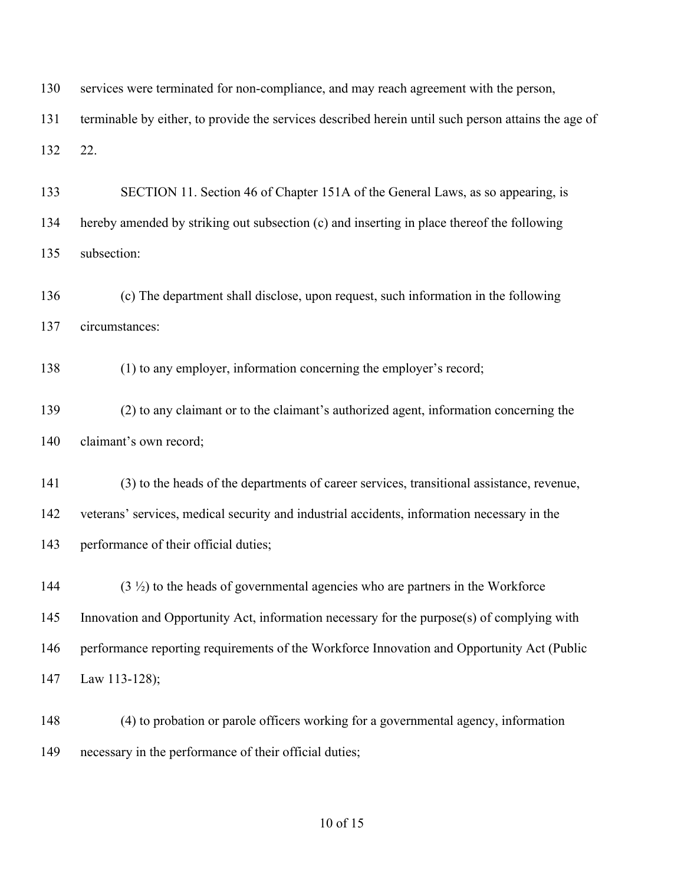services were terminated for non-compliance, and may reach agreement with the person,

 terminable by either, to provide the services described herein until such person attains the age of 22.

 SECTION 11. Section 46 of Chapter 151A of the General Laws, as so appearing, is hereby amended by striking out subsection (c) and inserting in place thereof the following subsection:

 (c) The department shall disclose, upon request, such information in the following circumstances:

(1) to any employer, information concerning the employer's record;

 (2) to any claimant or to the claimant's authorized agent, information concerning the claimant's own record;

 (3) to the heads of the departments of career services, transitional assistance, revenue, veterans' services, medical security and industrial accidents, information necessary in the performance of their official duties;

 (3  $\frac{1}{2}$ ) to the heads of governmental agencies who are partners in the Workforce Innovation and Opportunity Act, information necessary for the purpose(s) of complying with performance reporting requirements of the Workforce Innovation and Opportunity Act (Public Law 113-128);

 (4) to probation or parole officers working for a governmental agency, information necessary in the performance of their official duties;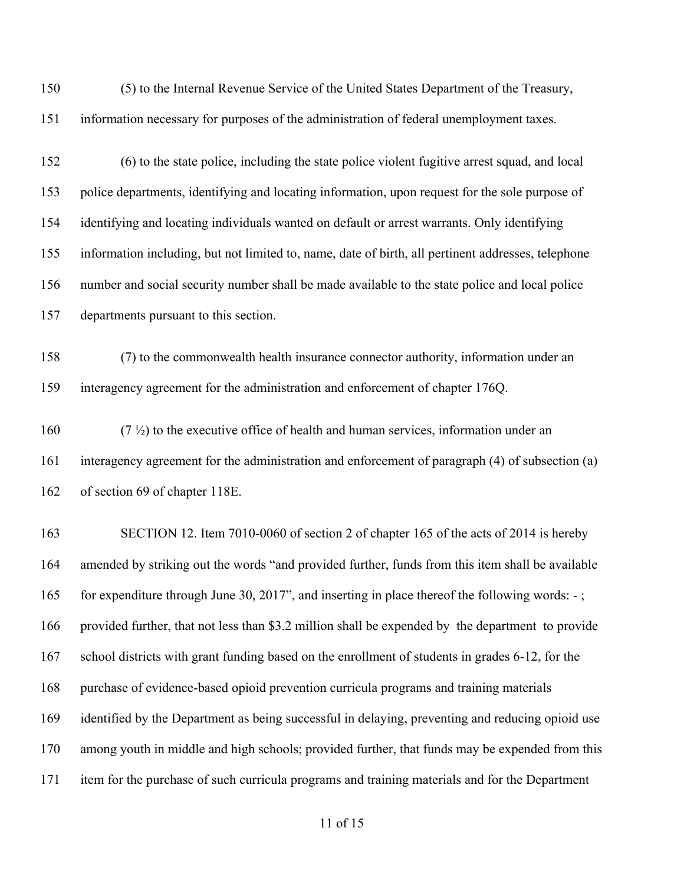(5) to the Internal Revenue Service of the United States Department of the Treasury, information necessary for purposes of the administration of federal unemployment taxes.

 (6) to the state police, including the state police violent fugitive arrest squad, and local police departments, identifying and locating information, upon request for the sole purpose of identifying and locating individuals wanted on default or arrest warrants. Only identifying information including, but not limited to, name, date of birth, all pertinent addresses, telephone number and social security number shall be made available to the state police and local police departments pursuant to this section.

 (7) to the commonwealth health insurance connector authority, information under an interagency agreement for the administration and enforcement of chapter 176Q.

160  $(7 \frac{1}{2})$  to the executive office of health and human services, information under an interagency agreement for the administration and enforcement of paragraph (4) of subsection (a) of section 69 of chapter 118E.

 SECTION 12. Item 7010-0060 of section 2 of chapter 165 of the acts of 2014 is hereby amended by striking out the words "and provided further, funds from this item shall be available 165 for expenditure through June 30, 2017", and inserting in place thereof the following words: -; provided further, that not less than \$3.2 million shall be expended by the department to provide school districts with grant funding based on the enrollment of students in grades 6-12, for the purchase of evidence-based opioid prevention curricula programs and training materials identified by the Department as being successful in delaying, preventing and reducing opioid use among youth in middle and high schools; provided further, that funds may be expended from this item for the purchase of such curricula programs and training materials and for the Department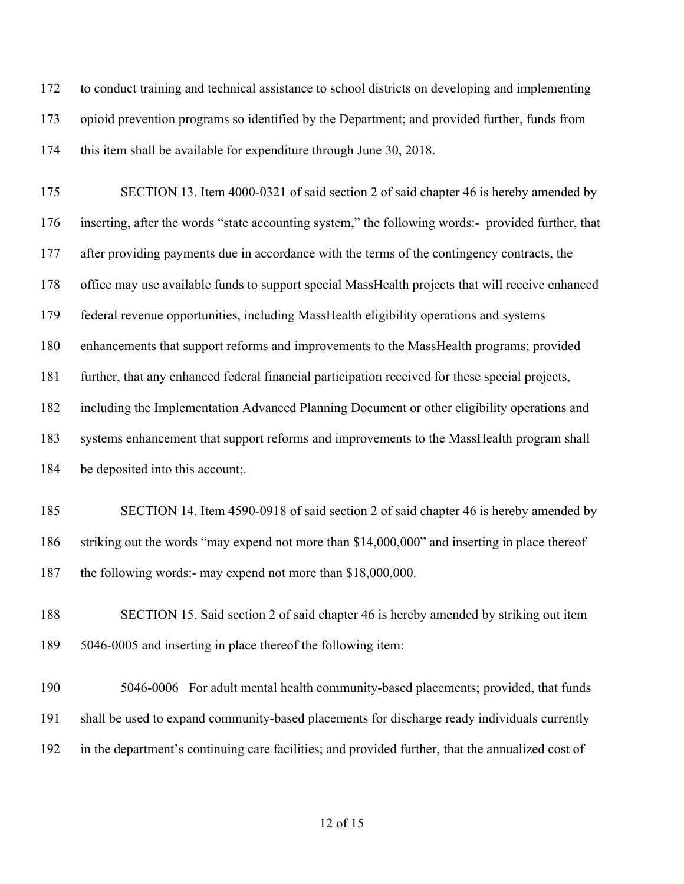to conduct training and technical assistance to school districts on developing and implementing opioid prevention programs so identified by the Department; and provided further, funds from this item shall be available for expenditure through June 30, 2018.

 SECTION 13. Item 4000-0321 of said section 2 of said chapter 46 is hereby amended by inserting, after the words "state accounting system," the following words:- provided further, that 177 after providing payments due in accordance with the terms of the contingency contracts, the office may use available funds to support special MassHealth projects that will receive enhanced federal revenue opportunities, including MassHealth eligibility operations and systems enhancements that support reforms and improvements to the MassHealth programs; provided further, that any enhanced federal financial participation received for these special projects, including the Implementation Advanced Planning Document or other eligibility operations and systems enhancement that support reforms and improvements to the MassHealth program shall be deposited into this account;.

 SECTION 14. Item 4590-0918 of said section 2 of said chapter 46 is hereby amended by striking out the words "may expend not more than \$14,000,000" and inserting in place thereof the following words:- may expend not more than \$18,000,000.

 SECTION 15. Said section 2 of said chapter 46 is hereby amended by striking out item 5046-0005 and inserting in place thereof the following item:

 5046-0006 For adult mental health community-based placements; provided, that funds shall be used to expand community-based placements for discharge ready individuals currently in the department's continuing care facilities; and provided further, that the annualized cost of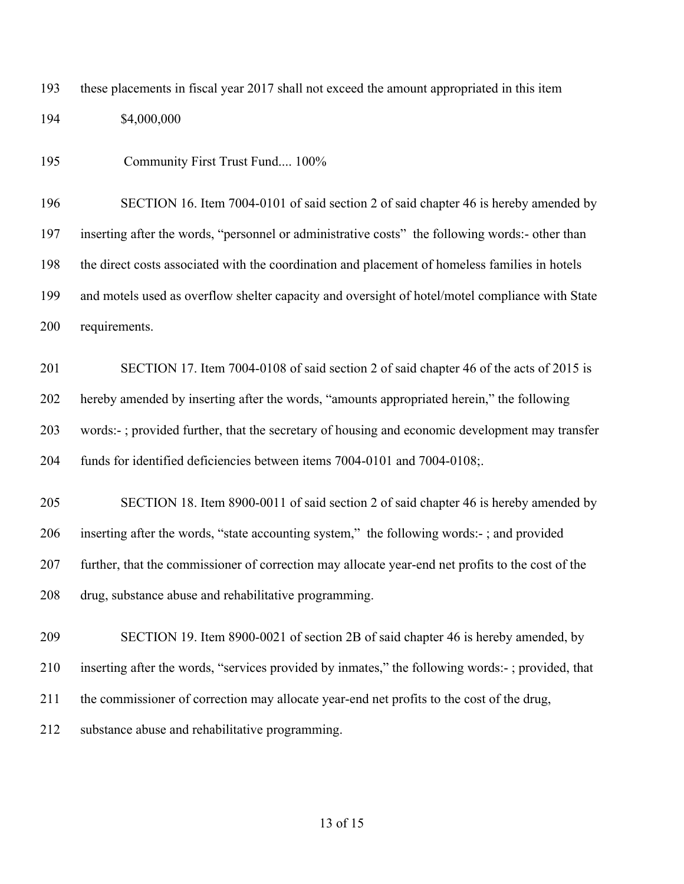these placements in fiscal year 2017 shall not exceed the amount appropriated in this item \$4,000,000

Community First Trust Fund.... 100%

 SECTION 16. Item 7004-0101 of said section 2 of said chapter 46 is hereby amended by inserting after the words, "personnel or administrative costs" the following words:- other than the direct costs associated with the coordination and placement of homeless families in hotels and motels used as overflow shelter capacity and oversight of hotel/motel compliance with State requirements.

 SECTION 17. Item 7004-0108 of said section 2 of said chapter 46 of the acts of 2015 is hereby amended by inserting after the words, "amounts appropriated herein," the following words:- ; provided further, that the secretary of housing and economic development may transfer funds for identified deficiencies between items 7004-0101 and 7004-0108;.

 SECTION 18. Item 8900-0011 of said section 2 of said chapter 46 is hereby amended by inserting after the words, "state accounting system," the following words:- ; and provided further, that the commissioner of correction may allocate year-end net profits to the cost of the drug, substance abuse and rehabilitative programming.

 SECTION 19. Item 8900-0021 of section 2B of said chapter 46 is hereby amended, by inserting after the words, "services provided by inmates," the following words:- ; provided, that the commissioner of correction may allocate year-end net profits to the cost of the drug, substance abuse and rehabilitative programming.

### of 15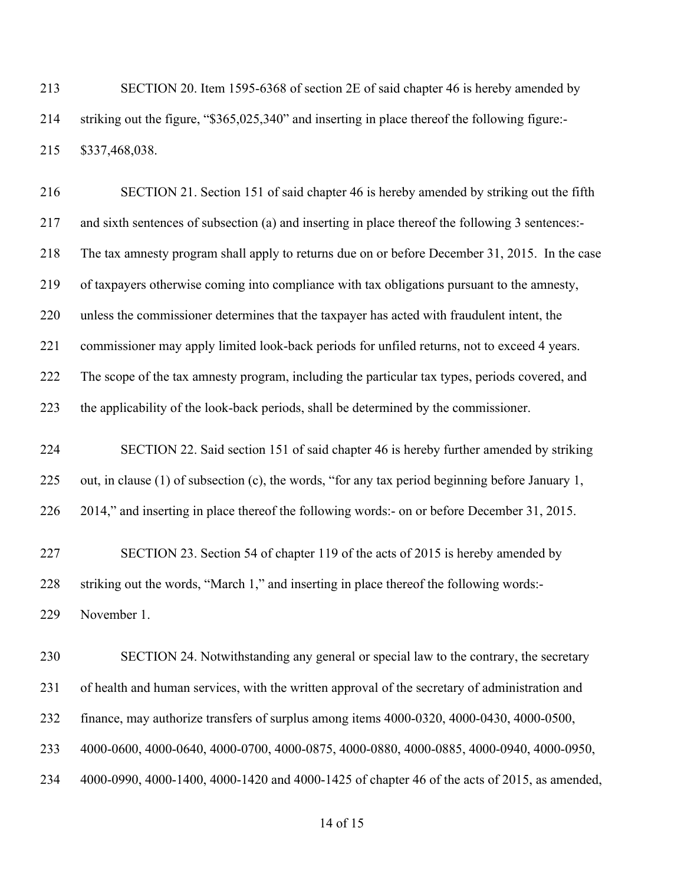SECTION 20. Item 1595-6368 of section 2E of said chapter 46 is hereby amended by striking out the figure, "\$365,025,340" and inserting in place thereof the following figure:- \$337,468,038.

 SECTION 21. Section 151 of said chapter 46 is hereby amended by striking out the fifth and sixth sentences of subsection (a) and inserting in place thereof the following 3 sentences:- The tax amnesty program shall apply to returns due on or before December 31, 2015. In the case of taxpayers otherwise coming into compliance with tax obligations pursuant to the amnesty, unless the commissioner determines that the taxpayer has acted with fraudulent intent, the commissioner may apply limited look-back periods for unfiled returns, not to exceed 4 years. The scope of the tax amnesty program, including the particular tax types, periods covered, and the applicability of the look-back periods, shall be determined by the commissioner.

 SECTION 22. Said section 151 of said chapter 46 is hereby further amended by striking out, in clause (1) of subsection (c), the words, "for any tax period beginning before January 1, 2014," and inserting in place thereof the following words:- on or before December 31, 2015.

 SECTION 23. Section 54 of chapter 119 of the acts of 2015 is hereby amended by striking out the words, "March 1," and inserting in place thereof the following words:- November 1.

 SECTION 24. Notwithstanding any general or special law to the contrary, the secretary of health and human services, with the written approval of the secretary of administration and finance, may authorize transfers of surplus among items 4000-0320, 4000-0430, 4000-0500, 4000-0600, 4000-0640, 4000-0700, 4000-0875, 4000-0880, 4000-0885, 4000-0940, 4000-0950, 4000-0990, 4000-1400, 4000-1420 and 4000-1425 of chapter 46 of the acts of 2015, as amended,